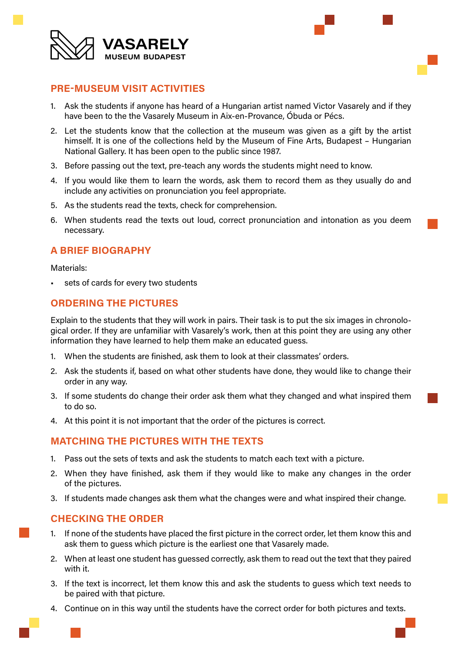



### **PRE-MUSEUM VISIT ACTIVITIES**

- 1. Ask the students if anyone has heard of a Hungarian artist named Victor Vasarely and if they have been to the the Vasarely Museum in Aix-en-Provance, Óbuda or Pécs.
- 2. Let the students know that the collection at the museum was given as a gift by the artist himself. It is one of the collections held by the Museum of Fine Arts, Budapest – Hungarian National Gallery. It has been open to the public since 1987.
- 3. Before passing out the text, pre-teach any words the students might need to know.
- 4. If you would like them to learn the words, ask them to record them as they usually do and include any activities on pronunciation you feel appropriate.
- 5. As the students read the texts, check for comprehension.
- 6. When students read the texts out loud, correct pronunciation and intonation as you deem necessary.

## **A BRIEF BIOGRAPHY**

Materials:

sets of cards for every two students

# **ORDERING THE PICTURES**

Explain to the students that they will work in pairs. Their task is to put the six images in chronological order. If they are unfamiliar with Vasarely's work, then at this point they are using any other information they have learned to help them make an educated guess.

- 1. When the students are finished, ask them to look at their classmates' orders.
- 2. Ask the students if, based on what other students have done, they would like to change their order in any way.
- 3. If some students do change their order ask them what they changed and what inspired them to do so.
- 4. At this point it is not important that the order of the pictures is correct.

### **MATCHING THE PICTURES WITH THE TEXTS**

- 1. Pass out the sets of texts and ask the students to match each text with a picture.
- 2. When they have finished, ask them if they would like to make any changes in the order of the pictures.
- 3. If students made changes ask them what the changes were and what inspired their change.

### **CHECKING THE ORDER**

- 1. If none of the students have placed the first picture in the correct order, let them know this and ask them to guess which picture is the earliest one that Vasarely made.
- 2. When at least one student has guessed correctly, ask them to read out the text that they paired with it.
- 3. If the text is incorrect, let them know this and ask the students to guess which text needs to be paired with that picture.
- 4. Continue on in this way until the students have the correct order for both pictures and texts.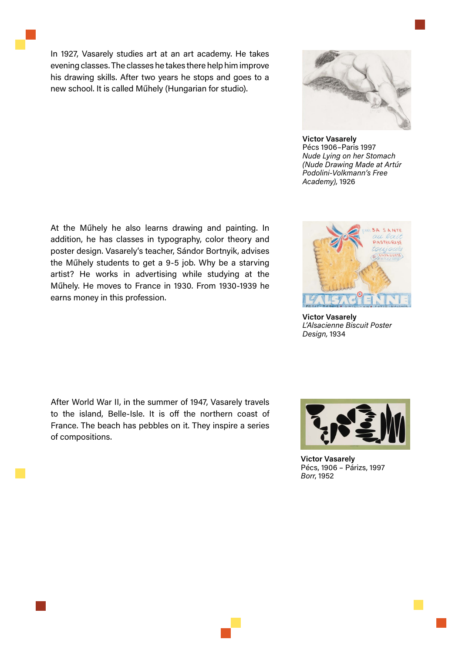In 1927, Vasarely studies art at an art academy. He takes evening classes. The classes he takes there help him improve his drawing skills. After two years he stops and goes to a new school. It is called Műhely (Hungarian for studio).



**Victor Vasarely** Pécs 1906–Paris 1997 *Nude Lying on her Stomach (Nude Drawing Made at Artúr Podolini-Volkmann's Free Academy),* 1926

At the Műhely he also learns drawing and painting. In addition, he has classes in typography, color theory and poster design. Vasarely's teacher, Sándor Bortnyik, advises the Műhely students to get a 9-5 job. Why be a starving artist? He works in advertising while studying at the Műhely. He moves to France in 1930. From 1930-1939 he earns money in this profession.

After World War II, in the summer of 1947, Vasarely travels to the island, Belle-Isle. It is off the northern coast of France. The beach has pebbles on it. They inspire a series of compositions.



**Victor Vasarely** *L'Alsacienne Biscuit Poster Design,* 1934



**Victor Vasarely** Pécs, 1906 – Párizs, 1997 *Borr*, 1952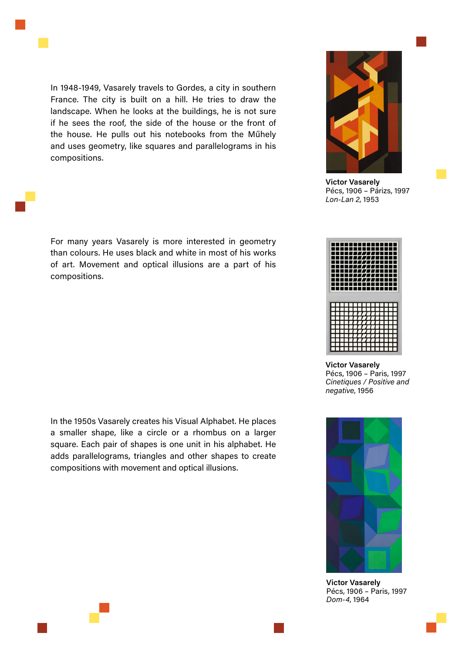

In 1948-1949, Vasarely travels to Gordes, a city in southern France. The city is built on a hill. He tries to draw the landscape. When he looks at the buildings, he is not sure if he sees the roof, the side of the house or the front of the house. He pulls out his notebooks from the Műhely and uses geometry, like squares and parallelograms in his compositions.

For many years Vasarely is more interested in geometry than colours. He uses black and white in most of his works of art. Movement and optical illusions are a part of his compositions.

In the 1950s Vasarely creates his Visual Alphabet. He places a smaller shape, like a circle or a rhombus on a larger square. Each pair of shapes is one unit in his alphabet. He adds parallelograms, triangles and other shapes to create compositions with movement and optical illusions.



**Victor Vasarely** Pécs, 1906 – Párizs, 1997 *Lon-Lan 2*, 1953



**Victor Vasarely** Pécs, 1906 – Paris, 1997 *Cinetiques / Positive and negative*, 1956



**Victor Vasarely** Pécs, 1906 – Paris, 1997 *Dom-4*, 1964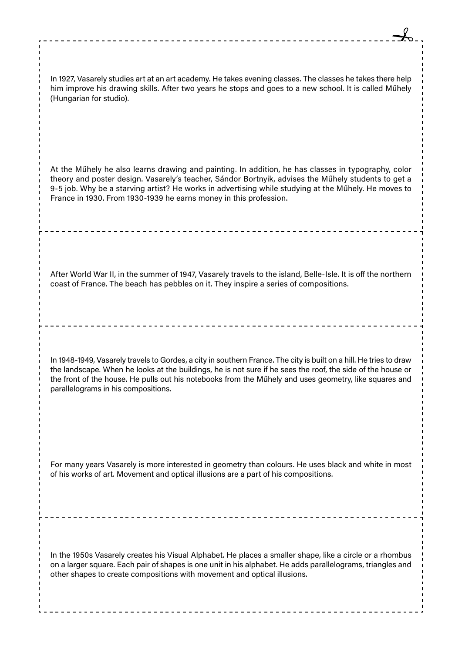| In 1927, Vasarely studies art at an art academy. He takes evening classes. The classes he takes there help<br>him improve his drawing skills. After two years he stops and goes to a new school. It is called Műhely<br>(Hungarian for studio).                                                                                                                                         |
|-----------------------------------------------------------------------------------------------------------------------------------------------------------------------------------------------------------------------------------------------------------------------------------------------------------------------------------------------------------------------------------------|
| At the Műhely he also learns drawing and painting. In addition, he has classes in typography, color<br>theory and poster design. Vasarely's teacher, Sándor Bortnyik, advises the Műhely students to get a<br>9-5 job. Why be a starving artist? He works in advertising while studying at the Műhely. He moves to<br>France in 1930. From 1930-1939 he earns money in this profession. |
| After World War II, in the summer of 1947, Vasarely travels to the island, Belle-Isle. It is off the northern<br>coast of France. The beach has pebbles on it. They inspire a series of compositions.                                                                                                                                                                                   |
| In 1948-1949, Vasarely travels to Gordes, a city in southern France. The city is built on a hill. He tries to draw<br>the landscape. When he looks at the buildings, he is not sure if he sees the roof, the side of the house or<br>the front of the house. He pulls out his notebooks from the Műhely and uses geometry, like squares and<br>parallelograms in his compositions.      |
| For many years Vasarely is more interested in geometry than colours. He uses black and white in most<br>of his works of art. Movement and optical illusions are a part of his compositions.                                                                                                                                                                                             |
| In the 1950s Vasarely creates his Visual Alphabet. He places a smaller shape, like a circle or a rhombus<br>on a larger square. Each pair of shapes is one unit in his alphabet. He adds parallelograms, triangles and<br>other shapes to create compositions with movement and optical illusions.                                                                                      |